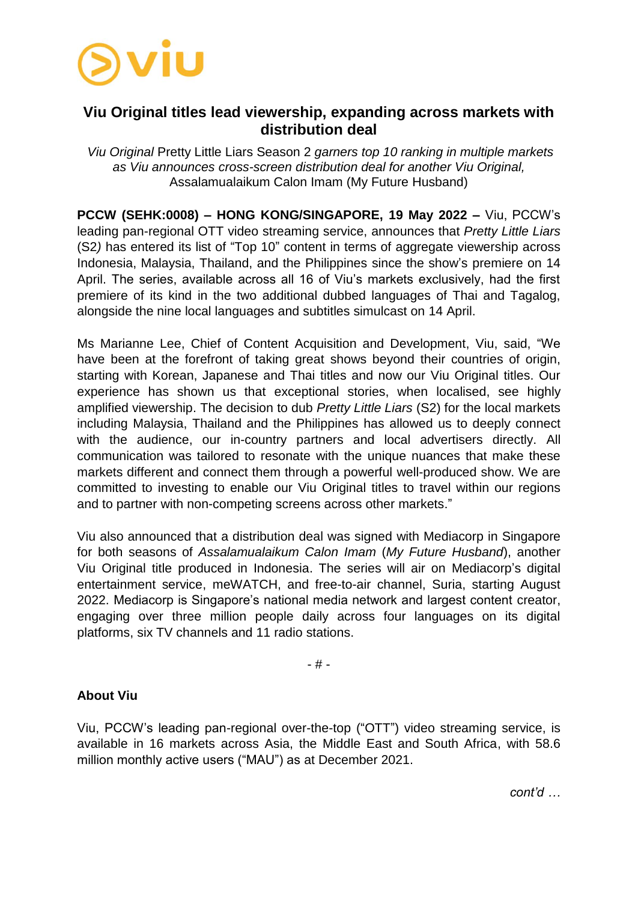

## **Viu Original titles lead viewership, expanding across markets with distribution deal**

*Viu Original* Pretty Little Liars Season 2 *garners top 10 ranking in multiple markets as Viu announces cross-screen distribution deal for another Viu Original,*  Assalamualaikum Calon Imam (My Future Husband)

**PCCW (SEHK:0008) – HONG KONG/SINGAPORE, 19 May 2022 –** Viu, PCCW's leading pan-regional OTT video streaming service, announces that *Pretty Little Liars* (S2*)* has entered its list of "Top 10" content in terms of aggregate viewership across Indonesia, Malaysia, Thailand, and the Philippines since the show's premiere on 14 April. The series, available across all 16 of Viu's markets exclusively, had the first premiere of its kind in the two additional dubbed languages of Thai and Tagalog, alongside the nine local languages and subtitles simulcast on 14 April.

Ms Marianne Lee, Chief of Content Acquisition and Development, Viu, said, "We have been at the forefront of taking great shows beyond their countries of origin, starting with Korean, Japanese and Thai titles and now our Viu Original titles. Our experience has shown us that exceptional stories, when localised, see highly amplified viewership. The decision to dub *Pretty Little Liars* (S2) for the local markets including Malaysia, Thailand and the Philippines has allowed us to deeply connect with the audience, our in-country partners and local advertisers directly. All communication was tailored to resonate with the unique nuances that make these markets different and connect them through a powerful well-produced show. We are committed to investing to enable our Viu Original titles to travel within our regions and to partner with non-competing screens across other markets."

Viu also announced that a distribution deal was signed with Mediacorp in Singapore for both seasons of *Assalamualaikum Calon Imam* (*My Future Husband*), another Viu Original title produced in Indonesia. The series will air on Mediacorp's digital entertainment service, meWATCH, and free-to-air channel, Suria, starting August 2022. Mediacorp is Singapore's national media network and largest content creator, engaging over three million people daily across four languages on its digital platforms, six TV channels and 11 radio stations.

- # -

## **About Viu**

Viu, PCCW's leading pan-regional over-the-top ("OTT") video streaming service, is available in 16 markets across Asia, the Middle East and South Africa, with 58.6 million monthly active users ("MAU") as at December 2021.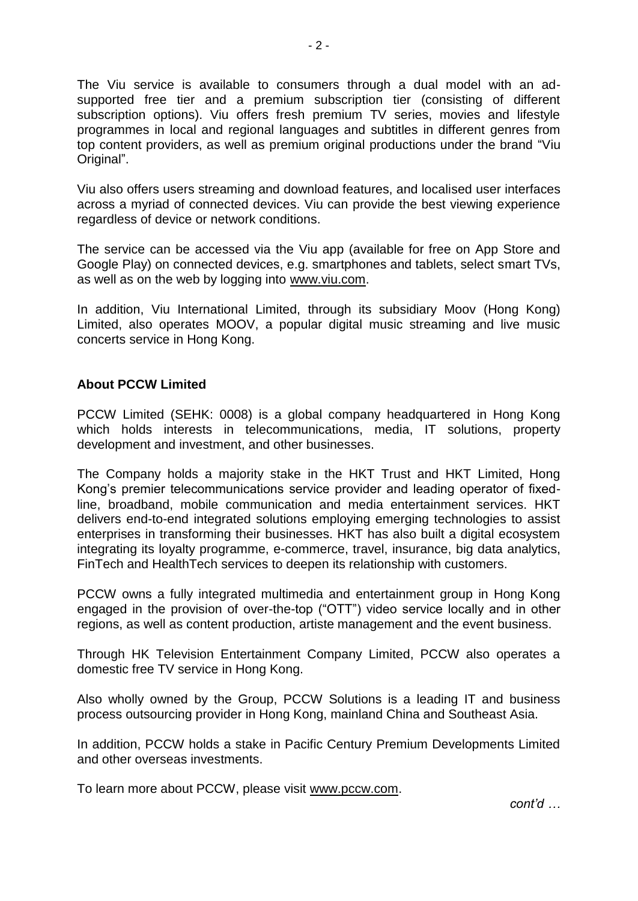The Viu service is available to consumers through a dual model with an adsupported free tier and a premium subscription tier (consisting of different subscription options). Viu offers fresh premium TV series, movies and lifestyle programmes in local and regional languages and subtitles in different genres from top content providers, as well as premium original productions under the brand "Viu Original".

Viu also offers users streaming and download features, and localised user interfaces across a myriad of connected devices. Viu can provide the best viewing experience regardless of device or network conditions.

The service can be accessed via the Viu app (available for free on App Store and Google Play) on connected devices, e.g. smartphones and tablets, select smart TVs, as well as on the web by logging into [www.viu.com.](http://www.viu.com/)

In addition, Viu International Limited, through its subsidiary Moov (Hong Kong) Limited, also operates MOOV, a popular digital music streaming and live music concerts service in Hong Kong.

## **About PCCW Limited**

PCCW Limited (SEHK: 0008) is a global company headquartered in Hong Kong which holds interests in telecommunications, media, IT solutions, property development and investment, and other businesses.

The Company holds a majority stake in the HKT Trust and HKT Limited, Hong Kong's premier telecommunications service provider and leading operator of fixedline, broadband, mobile communication and media entertainment services. HKT delivers end-to-end integrated solutions employing emerging technologies to assist enterprises in transforming their businesses. HKT has also built a digital ecosystem integrating its loyalty programme, e-commerce, travel, insurance, big data analytics, FinTech and HealthTech services to deepen its relationship with customers.

PCCW owns a fully integrated multimedia and entertainment group in Hong Kong engaged in the provision of over-the-top ("OTT") video service locally and in other regions, as well as content production, artiste management and the event business.

Through HK Television Entertainment Company Limited, PCCW also operates a domestic free TV service in Hong Kong.

Also wholly owned by the Group, PCCW Solutions is a leading IT and business process outsourcing provider in Hong Kong, mainland China and Southeast Asia.

In addition, PCCW holds a stake in Pacific Century Premium Developments Limited and other overseas investments.

To learn more about PCCW, please visit www.pccw.com.

*cont'd …*